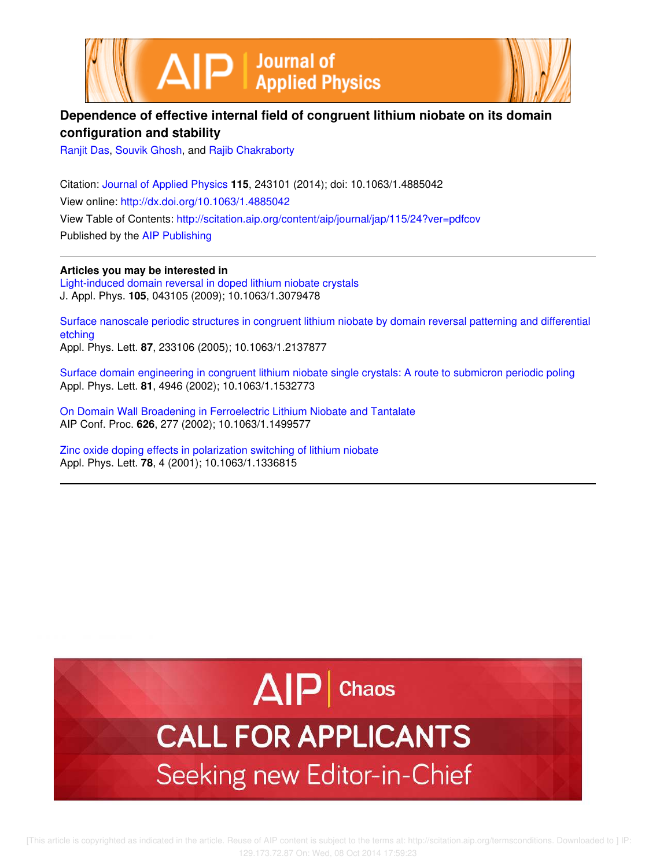



## **Dependence of effective internal field of congruent lithium niobate on its domain configuration and stability**

Ranjit Das, Souvik Ghosh, and Rajib Chakraborty

Citation: Journal of Applied Physics **115**, 243101 (2014); doi: 10.1063/1.4885042 View online: http://dx.doi.org/10.1063/1.4885042 View Table of Contents: http://scitation.aip.org/content/aip/journal/jap/115/24?ver=pdfcov Published by the AIP Publishing

**Articles you may be interested in** Light-induced domain reversal in doped lithium niobate crystals J. Appl. Phys. **105**, 043105 (2009); 10.1063/1.3079478

Surface nanoscale periodic structures in congruent lithium niobate by domain reversal patterning and differential etching Appl. Phys. Lett. **87**, 233106 (2005); 10.1063/1.2137877

Surface domain engineering in congruent lithium niobate single crystals: A route to submicron periodic poling Appl. Phys. Lett. **81**, 4946 (2002); 10.1063/1.1532773

On Domain Wall Broadening in Ferroelectric Lithium Niobate and Tantalate AIP Conf. Proc. **626**, 277 (2002); 10.1063/1.1499577

Zinc oxide doping effects in polarization switching of lithium niobate Appl. Phys. Lett. **78**, 4 (2001); 10.1063/1.1336815



# **CALL FOR APPLICANTS** Seeking new Editor-in-Chief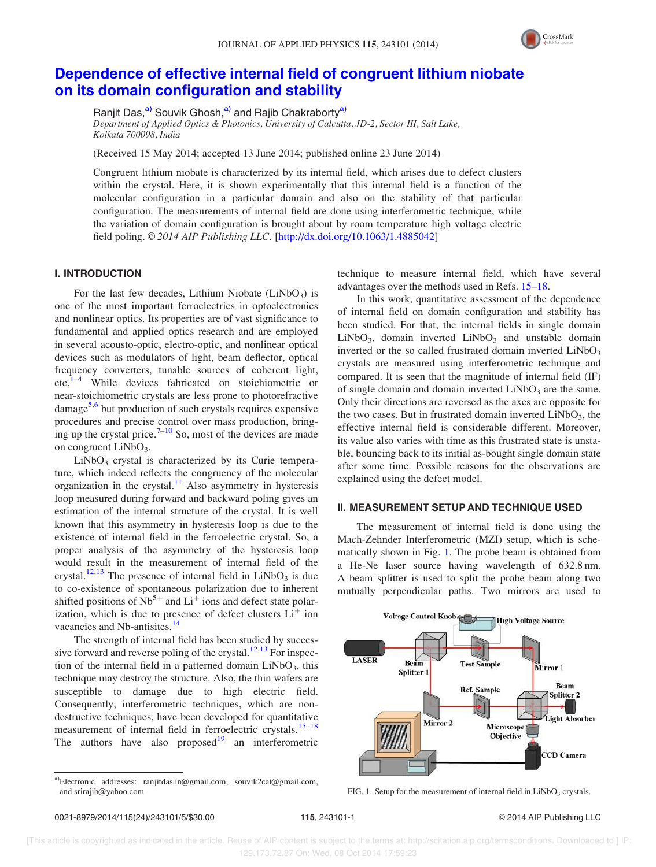

### Dependence of effective internal field of congruent lithium niobate on its domain configuration and stability

Ranjit Das,<sup>a)</sup> Souvik Ghosh,<sup>a)</sup> and Rajib Chakraborty<sup>a)</sup>

Department of Applied Optics & Photonics, University of Calcutta, JD-2, Sector III, Salt Lake, Kolkata 700098, India

(Received 15 May 2014; accepted 13 June 2014; published online 23 June 2014)

Congruent lithium niobate is characterized by its internal field, which arises due to defect clusters within the crystal. Here, it is shown experimentally that this internal field is a function of the molecular configuration in a particular domain and also on the stability of that particular configuration. The measurements of internal field are done using interferometric technique, while the variation of domain configuration is brought about by room temperature high voltage electric field poling.  $\odot$  2014 AIP Publishing LLC. [http://dx.doi.org/10.1063/1.4885042]

#### I. INTRODUCTION

For the last few decades, Lithium Niobate (LiNbO<sub>3</sub>) is one of the most important ferroelectrics in optoelectronics and nonlinear optics. Its properties are of vast significance to fundamental and applied optics research and are employed in several acousto-optic, electro-optic, and nonlinear optical devices such as modulators of light, beam deflector, optical frequency converters, tunable sources of coherent light, etc.1–4 While devices fabricated on stoichiometric or near-stoichiometric crystals are less prone to photorefractive damage<sup>5,6</sup> but production of such crystals requires expensive procedures and precise control over mass production, bringing up the crystal price. $7-10$  So, most of the devices are made on congruent LiNbO<sub>3</sub>.

 $LiNbO<sub>3</sub>$  crystal is characterized by its Curie temperature, which indeed reflects the congruency of the molecular organization in the crystal.<sup>11</sup> Also asymmetry in hysteresis loop measured during forward and backward poling gives an estimation of the internal structure of the crystal. It is well known that this asymmetry in hysteresis loop is due to the existence of internal field in the ferroelectric crystal. So, a proper analysis of the asymmetry of the hysteresis loop would result in the measurement of internal field of the crystal.<sup>12,13</sup> The presence of internal field in  $LiNbO<sub>3</sub>$  is due to co-existence of spontaneous polarization due to inherent shifted positions of  $\text{Nb}^{5+}$  and  $\text{Li}^{\ddagger}$  ions and defect state polarization, which is due to presence of defect clusters  $Li<sup>+</sup>$  ion vacancies and Nb-antisites.<sup>14</sup>

The strength of internal field has been studied by successive forward and reverse poling of the crystal.<sup>12,13</sup> For inspection of the internal field in a patterned domain  $LiNbO<sub>3</sub>$ , this technique may destroy the structure. Also, the thin wafers are susceptible to damage due to high electric field. Consequently, interferometric techniques, which are nondestructive techniques, have been developed for quantitative measurement of internal field in ferroelectric crystals.<sup>15–18</sup> The authors have also proposed $19$  an interferometric technique to measure internal field, which have several advantages over the methods used in Refs. 15–18.

In this work, quantitative assessment of the dependence of internal field on domain configuration and stability has been studied. For that, the internal fields in single domain  $LiNbO<sub>3</sub>$ , domain inverted  $LiNbO<sub>3</sub>$  and unstable domain inverted or the so called frustrated domain inverted  $LiNbO<sub>3</sub>$ crystals are measured using interferometric technique and compared. It is seen that the magnitude of internal field (IF) of single domain and domain inverted  $LiNbO<sub>3</sub>$  are the same. Only their directions are reversed as the axes are opposite for the two cases. But in frustrated domain inverted  $LiNbO<sub>3</sub>$ , the effective internal field is considerable different. Moreover, its value also varies with time as this frustrated state is unstable, bouncing back to its initial as-bought single domain state after some time. Possible reasons for the observations are explained using the defect model.

#### II. MEASUREMENT SETUP AND TECHNIQUE USED

The measurement of internal field is done using the Mach-Zehnder Interferometric (MZI) setup, which is schematically shown in Fig. 1. The probe beam is obtained from a He-Ne laser source having wavelength of 632.8 nm. A beam splitter is used to split the probe beam along two mutually perpendicular paths. Two mirrors are used to



FIG. 1. Setup for the measurement of internal field in  $LiNbO<sub>3</sub>$  crystals.

a)Electronic addresses: ranjitdas.in@gmail.com, souvik2cat@gmail.com, and srirajib@yahoo.com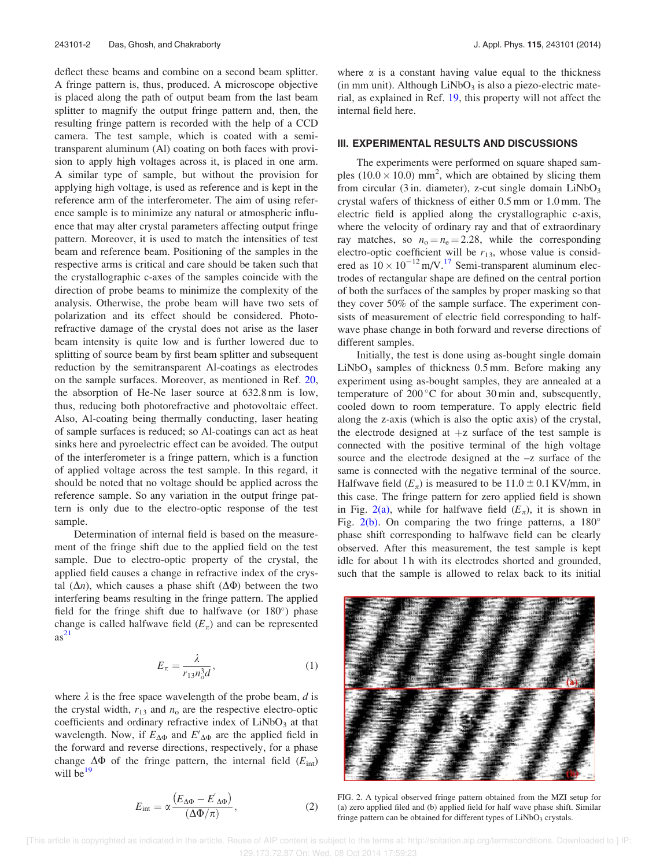deflect these beams and combine on a second beam splitter. A fringe pattern is, thus, produced. A microscope objective is placed along the path of output beam from the last beam splitter to magnify the output fringe pattern and, then, the resulting fringe pattern is recorded with the help of a CCD camera. The test sample, which is coated with a semitransparent aluminum (Al) coating on both faces with provision to apply high voltages across it, is placed in one arm. A similar type of sample, but without the provision for applying high voltage, is used as reference and is kept in the reference arm of the interferometer. The aim of using reference sample is to minimize any natural or atmospheric influence that may alter crystal parameters affecting output fringe pattern. Moreover, it is used to match the intensities of test beam and reference beam. Positioning of the samples in the respective arms is critical and care should be taken such that the crystallographic c-axes of the samples coincide with the direction of probe beams to minimize the complexity of the analysis. Otherwise, the probe beam will have two sets of polarization and its effect should be considered. Photorefractive damage of the crystal does not arise as the laser beam intensity is quite low and is further lowered due to splitting of source beam by first beam splitter and subsequent reduction by the semitransparent Al-coatings as electrodes on the sample surfaces. Moreover, as mentioned in Ref. 20, the absorption of He-Ne laser source at 632.8 nm is low, thus, reducing both photorefractive and photovoltaic effect. Also, Al-coating being thermally conducting, laser heating of sample surfaces is reduced; so Al-coatings can act as heat sinks here and pyroelectric effect can be avoided. The output of the interferometer is a fringe pattern, which is a function of applied voltage across the test sample. In this regard, it should be noted that no voltage should be applied across the reference sample. So any variation in the output fringe pattern is only due to the electro-optic response of the test sample.

Determination of internal field is based on the measurement of the fringe shift due to the applied field on the test sample. Due to electro-optic property of the crystal, the applied field causes a change in refractive index of the crystal  $(\Delta n)$ , which causes a phase shift  $(\Delta \Phi)$  between the two interfering beams resulting in the fringe pattern. The applied field for the fringe shift due to halfwave (or  $180^\circ$ ) phase change is called halfwave field  $(E_{\pi})$  and can be represented  $as<sup>21</sup>$ 

$$
E_{\pi} = \frac{\lambda}{r_{13}n_o^3 d},\tag{1}
$$

where  $\lambda$  is the free space wavelength of the probe beam, d is the crystal width,  $r_{13}$  and  $n_0$  are the respective electro-optic coefficients and ordinary refractive index of  $LiNbO<sub>3</sub>$  at that wavelength. Now, if  $E_{\Delta\Phi}$  and  $E'_{\Delta\Phi}$  are the applied field in the forward and reverse directions, respectively, for a phase change  $\Delta\Phi$  of the fringe pattern, the internal field ( $E_{\text{int}}$ ) will be $19$ 

$$
E_{\rm int} = \alpha \frac{\left(E_{\Delta\Phi} - E'_{\Delta\Phi}\right)}{\left(\Delta\Phi/\pi\right)},\tag{2}
$$

where  $\alpha$  is a constant having value equal to the thickness  $(in \, mm \, unit)$ . Although  $LiNbO<sub>3</sub>$  is also a piezo-electric material, as explained in Ref. 19, this property will not affect the internal field here.

#### III. EXPERIMENTAL RESULTS AND DISCUSSIONS

The experiments were performed on square shaped samples (10.0  $\times$  10.0) mm<sup>2</sup>, which are obtained by slicing them from circular (3 in. diameter), z-cut single domain  $LiNbO<sub>3</sub>$ crystal wafers of thickness of either 0.5 mm or 1.0 mm. The electric field is applied along the crystallographic c-axis, where the velocity of ordinary ray and that of extraordinary ray matches, so  $n_0 = n_e = 2.28$ , while the corresponding electro-optic coefficient will be  $r_{13}$ , whose value is considered as  $10 \times 10^{-12}$  m/V.<sup>17</sup> Semi-transparent aluminum electrodes of rectangular shape are defined on the central portion of both the surfaces of the samples by proper masking so that they cover 50% of the sample surface. The experiment consists of measurement of electric field corresponding to halfwave phase change in both forward and reverse directions of different samples.

Initially, the test is done using as-bought single domain  $LiNbO<sub>3</sub>$  samples of thickness 0.5 mm. Before making any experiment using as-bought samples, they are annealed at a temperature of  $200\,^{\circ}\text{C}$  for about 30 min and, subsequently, cooled down to room temperature. To apply electric field along the z-axis (which is also the optic axis) of the crystal, the electrode designed at  $+z$  surface of the test sample is connected with the positive terminal of the high voltage source and the electrode designed at the –z surface of the same is connected with the negative terminal of the source. Halfwave field  $(E_{\pi})$  is measured to be 11.0  $\pm$  0.1 KV/mm, in this case. The fringe pattern for zero applied field is shown in Fig. 2(a), while for halfwave field  $(E_{\pi})$ , it is shown in Fig.  $2(b)$ . On comparing the two fringe patterns, a  $180^\circ$ phase shift corresponding to halfwave field can be clearly observed. After this measurement, the test sample is kept idle for about 1 h with its electrodes shorted and grounded, such that the sample is allowed to relax back to its initial



FIG. 2. A typical observed fringe pattern obtained from the MZI setup for (a) zero applied filed and (b) applied field for half wave phase shift. Similar fringe pattern can be obtained for different types of LiNbO<sub>3</sub> crystals.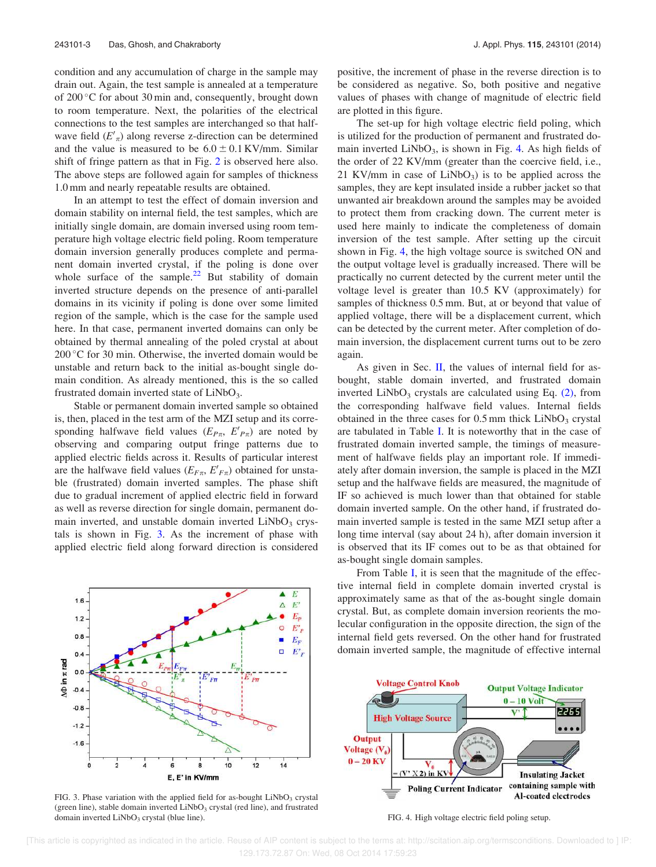condition and any accumulation of charge in the sample may drain out. Again, the test sample is annealed at a temperature of 200 °C for about 30 min and, consequently, brought down to room temperature. Next, the polarities of the electrical connections to the test samples are interchanged so that halfwave field  $(E'_n)$  along reverse z-direction can be determined and the value is measured to be  $6.0 \pm 0.1 \text{ KV/mm}$ . Similar shift of fringe pattern as that in Fig. 2 is observed here also. The above steps are followed again for samples of thickness 1.0 mm and nearly repeatable results are obtained.

In an attempt to test the effect of domain inversion and domain stability on internal field, the test samples, which are initially single domain, are domain inversed using room temperature high voltage electric field poling. Room temperature domain inversion generally produces complete and permanent domain inverted crystal, if the poling is done over whole surface of the sample. $22$  But stability of domain inverted structure depends on the presence of anti-parallel domains in its vicinity if poling is done over some limited region of the sample, which is the case for the sample used here. In that case, permanent inverted domains can only be obtained by thermal annealing of the poled crystal at about 200 °C for 30 min. Otherwise, the inverted domain would be unstable and return back to the initial as-bought single domain condition. As already mentioned, this is the so called frustrated domain inverted state of  $LiNbO<sub>3</sub>$ .

Stable or permanent domain inverted sample so obtained is, then, placed in the test arm of the MZI setup and its corresponding halfwave field values  $(E_{P\pi}, E'_{P\pi})$  are noted by observing and comparing output fringe patterns due to applied electric fields across it. Results of particular interest are the halfwave field values ( $E_{F\pi}$ ,  $E'_{F\pi}$ ) obtained for unstable (frustrated) domain inverted samples. The phase shift due to gradual increment of applied electric field in forward as well as reverse direction for single domain, permanent domain inverted, and unstable domain inverted  $LiNbO<sub>3</sub>$  crystals is shown in Fig. 3. As the increment of phase with applied electric field along forward direction is considered

 $1.6$ 

 $1.2$ 

 $0.8$ 

 $0.4$ 

 $-0.4$ 

 $-0.8$ 

 $-1.2$ 

 $-1.6$ 

 $\circ$ 

2

**O** in x rad  $0<sub>0</sub>$  be considered as negative. So, both positive and negative values of phases with change of magnitude of electric field are plotted in this figure. The set-up for high voltage electric field poling, which

positive, the increment of phase in the reverse direction is to

is utilized for the production of permanent and frustrated domain inverted  $LiNbO<sub>3</sub>$ , is shown in Fig. 4. As high fields of the order of 22 KV/mm (greater than the coercive field, i.e., 21 KV/mm in case of  $LiNbO<sub>3</sub>$ ) is to be applied across the samples, they are kept insulated inside a rubber jacket so that unwanted air breakdown around the samples may be avoided to protect them from cracking down. The current meter is used here mainly to indicate the completeness of domain inversion of the test sample. After setting up the circuit shown in Fig. 4, the high voltage source is switched ON and the output voltage level is gradually increased. There will be practically no current detected by the current meter until the voltage level is greater than 10.5 KV (approximately) for samples of thickness 0.5 mm. But, at or beyond that value of applied voltage, there will be a displacement current, which can be detected by the current meter. After completion of domain inversion, the displacement current turns out to be zero again.

As given in Sec. II, the values of internal field for asbought, stable domain inverted, and frustrated domain inverted LiNbO<sub>3</sub> crystals are calculated using Eq.  $(2)$ , from the corresponding halfwave field values. Internal fields obtained in the three cases for  $0.5$  mm thick  $LiNbO<sub>3</sub>$  crystal are tabulated in Table I. It is noteworthy that in the case of frustrated domain inverted sample, the timings of measurement of halfwave fields play an important role. If immediately after domain inversion, the sample is placed in the MZI setup and the halfwave fields are measured, the magnitude of IF so achieved is much lower than that obtained for stable domain inverted sample. On the other hand, if frustrated domain inverted sample is tested in the same MZI setup after a long time interval (say about 24 h), after domain inversion it is observed that its IF comes out to be as that obtained for as-bought single domain samples.

From Table I, it is seen that the magnitude of the effective internal field in complete domain inverted crystal is approximately same as that of the as-bought single domain crystal. But, as complete domain inversion reorients the molecular configuration in the opposite direction, the sign of the internal field gets reversed. On the other hand for frustrated domain inverted sample, the magnitude of effective internal



FIG. 3. Phase variation with the applied field for as-bought  $LiNbO<sub>3</sub>$  crystal (green line), stable domain inverted  $LiNbO<sub>3</sub>$  crystal (red line), and frustrated domain inverted LiNbO<sub>3</sub> crystal (blue line). FIG. 4. High voltage electric field poling setup.

 $\overline{8}$ 

E, E' in KV/mm

10

6



 $\blacktriangle$ E

 $\Delta$  $E^{\prime}$  $\mathcal{E}_P$ 

ö  $E'_p$ 

×,  $E_F$ ō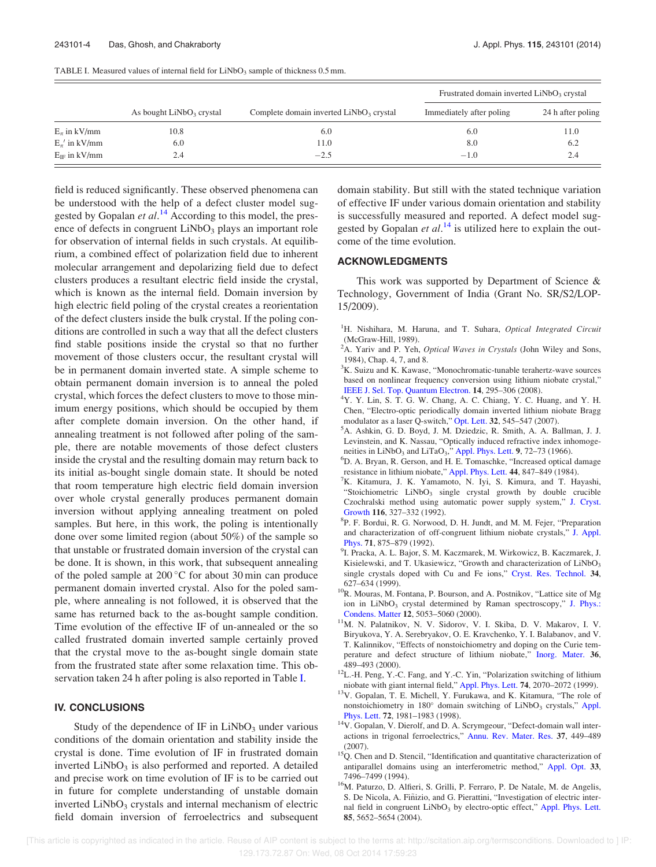| TABLE I. Measured values of internal field for $LiNbO3$ sample of thickness 0.5 mm. |  |  |  |  |
|-------------------------------------------------------------------------------------|--|--|--|--|
|-------------------------------------------------------------------------------------|--|--|--|--|

|                      | As bought $LiNbO3$ crystal |                                           | Frustrated domain inverted LiNbO <sub>3</sub> crystal |                   |
|----------------------|----------------------------|-------------------------------------------|-------------------------------------------------------|-------------------|
|                      |                            | Complete domain inverted $LiNbO3$ crystal | Immediately after poling                              | 24 h after poling |
| $E_{\pi}$ in kV/mm   | 10.8                       | 6.0                                       | 6.0                                                   | 11.0              |
| $E_{\pi}$ ' in kV/mm | 6.0                        | 11.0                                      | 8.0                                                   | 6.2               |
| $E_{IF}$ in kV/mm    | 2.4                        | $-2.5$                                    | $-1.0$                                                | 2.4               |

field is reduced significantly. These observed phenomena can be understood with the help of a defect cluster model suggested by Gopalan et al.<sup>14</sup> According to this model, the presence of defects in congruent  $LiNbO<sub>3</sub>$  plays an important role for observation of internal fields in such crystals. At equilibrium, a combined effect of polarization field due to inherent molecular arrangement and depolarizing field due to defect clusters produces a resultant electric field inside the crystal, which is known as the internal field. Domain inversion by high electric field poling of the crystal creates a reorientation of the defect clusters inside the bulk crystal. If the poling conditions are controlled in such a way that all the defect clusters find stable positions inside the crystal so that no further movement of those clusters occur, the resultant crystal will be in permanent domain inverted state. A simple scheme to obtain permanent domain inversion is to anneal the poled crystal, which forces the defect clusters to move to those minimum energy positions, which should be occupied by them after complete domain inversion. On the other hand, if annealing treatment is not followed after poling of the sample, there are notable movements of those defect clusters inside the crystal and the resulting domain may return back to its initial as-bought single domain state. It should be noted that room temperature high electric field domain inversion over whole crystal generally produces permanent domain inversion without applying annealing treatment on poled samples. But here, in this work, the poling is intentionally done over some limited region (about 50%) of the sample so that unstable or frustrated domain inversion of the crystal can be done. It is shown, in this work, that subsequent annealing of the poled sample at  $200^{\circ}$ C for about 30 min can produce permanent domain inverted crystal. Also for the poled sample, where annealing is not followed, it is observed that the same has returned back to the as-bought sample condition. Time evolution of the effective IF of un-annealed or the so called frustrated domain inverted sample certainly proved that the crystal move to the as-bought single domain state from the frustrated state after some relaxation time. This observation taken 24 h after poling is also reported in Table I.

#### IV. CONCLUSIONS

Study of the dependence of IF in  $LiNbO<sub>3</sub>$  under various conditions of the domain orientation and stability inside the crystal is done. Time evolution of IF in frustrated domain inverted  $LiNbO<sub>3</sub>$  is also performed and reported. A detailed and precise work on time evolution of IF is to be carried out in future for complete understanding of unstable domain inverted  $LiNbO<sub>3</sub>$  crystals and internal mechanism of electric field domain inversion of ferroelectrics and subsequent domain stability. But still with the stated technique variation of effective IF under various domain orientation and stability is successfully measured and reported. A defect model suggested by Gopalan et  $al.^{14}$  is utilized here to explain the outcome of the time evolution.

#### ACKNOWLEDGMENTS

This work was supported by Department of Science & Technology, Government of India (Grant No. SR/S2/LOP-15/2009).

- ${}^{1}$ H. Nishihara, M. Haruna, and T. Suhara, *Optical Integrated Circuit* (McGraw-Hill, 1989).
- <sup>2</sup>A. Yariv and P. Yeh, *Optical Waves in Crystals* (John Wiley and Sons, 1984), Chap. 4, 7, and 8.
- ${}^{3}$ K. Suizu and K. Kawase, "Monochromatic-tunable terahertz-wave sources based on nonlinear frequency conversion using lithium niobate crystal," IEEE J. Sel. Top. Quantum Electron. 14, 295–306 (2008).
- <sup>4</sup>Y. Y. Lin, S. T. G. W. Chang, A. C. Chiang, Y. C. Huang, and Y. H. Chen, "Electro-optic periodically domain inverted lithium niobate Bragg modulator as a laser Q-switch," Opt. Lett. 32, 545–547 (2007).
- <sup>5</sup>A. Ashkin, G. D. Boyd, J. M. Dziedzic, R. Smith, A. A. Ballman, J. J. Levinstein, and K. Nassau, "Optically induced refractive index inhomogeneities in LiNbO<sub>3</sub> and LiTaO<sub>3</sub>," Appl. Phys. Lett. 9, 72-73 (1966).
- <sup>6</sup>D. A. Bryan, R. Gerson, and H. E. Tomaschke, "Increased optical damage resistance in lithium niobate," Appl. Phys. Lett. 44, 847–849 (1984).
- ${}^{7}K$ . Kitamura, J. K. Yamamoto, N. Iyi, S. Kimura, and T. Hayashi, "Stoichiometric  $LiNbO<sub>3</sub>$  single crystal growth by double crucible Czochralski method using automatic power supply system," J. Cryst. Growth 116, 327–332 (1992).
- 8 P. F. Bordui, R. G. Norwood, D. H. Jundt, and M. M. Fejer, "Preparation and characterization of off-congruent lithium niobate crystals," J. Appl. Phys. 71, 875–879 (1992).
- 9 I. Pracka, A. L. Bajor, S. M. Kaczmarek, M. Wirkowicz, B. Kaczmarek, J. Kisielewski, and T. Ukasiewicz, "Growth and characterization of LiNbO<sub>3</sub> single crystals doped with Cu and Fe ions," Cryst. Res. Technol. 34, 627–634 (1999).
- <sup>10</sup>R. Mouras, M. Fontana, P. Bourson, and A. Postnikov, "Lattice site of Mg ion in LiNbO<sub>3</sub> crystal determined by Raman spectroscopy," J. Phys.: Condens. Matter 12, 5053–5060 (2000).
- <sup>11</sup>M. N. Palatnikov, N. V. Sidorov, V. I. Skiba, D. V. Makarov, I. V. Biryukova, Y. A. Serebryakov, O. E. Kravchenko, Y. I. Balabanov, and V. T. Kalinnikov, "Effects of nonstoichiometry and doping on the Curie temperature and defect structure of lithium niobate," Inorg. Mater. 36, 489–493 (2000).
- <sup>12</sup>L.-H. Peng, Y.-C. Fang, and Y.-C. Yin, "Polarization switching of lithium niobate with giant internal field," Appl. Phys. Lett. 74, 2070–2072 (1999).
- <sup>13</sup>V. Gopalan, T. E. Michell, Y. Furukawa, and K. Kitamura, "The role of nonstoichiometry in 180° domain switching of LiNbO<sub>3</sub> crystals," Appl. Phys. Lett. 72, 1981–1983 (1998).
- <sup>14</sup>V. Gopalan, V. Dierolf, and D. A. Scrymgeour, "Defect-domain wall interactions in trigonal ferroelectrics," Annu. Rev. Mater. Res. 37, 449–489 (2007).
- <sup>15</sup>Q. Chen and D. Stencil, "Identification and quantitative characterization of antiparallel domains using an interferometric method," Appl. Opt. 33, 7496–7499 (1994).
- <sup>16</sup>M. Paturzo, D. Alfieri, S. Grilli, P. Ferraro, P. De Natale, M. de Angelis, S. De Nicola, A. Fiñizio, and G. Pierattini, "Investigation of electric internal field in congruent LiNbO<sub>3</sub> by electro-optic effect," Appl. Phys. Lett. 85, 5652–5654 (2004).